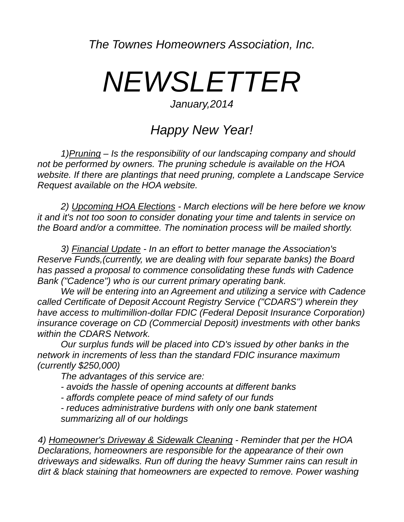*The Townes Homeowners Association, Inc.* 

## *NEWSLETTER*

## *January,2014*

## *Happy New Year!*

 *1)Pruning – Is the responsibility of our landscaping company and should not be performed by owners. The pruning schedule is available on the HOA website. If there are plantings that need pruning, complete a Landscape Service Request available on the HOA website.*

 *2) Upcoming HOA Elections - March elections will be here before we know it and it's not too soon to consider donating your time and talents in service on the Board and/or a committee. The nomination process will be mailed shortly.* 

 *3) Financial Update - In an effort to better manage the Association's Reserve Funds,(currently, we are dealing with four separate banks) the Board has passed a proposal to commence consolidating these funds with Cadence Bank ("Cadence") who is our current primary operating bank.*

 *We will be entering into an Agreement and utilizing a service with Cadence called Certificate of Deposit Account Registry Service ("CDARS") wherein they have access to multimillion-dollar FDIC (Federal Deposit Insurance Corporation) insurance coverage on CD (Commercial Deposit) investments with other banks within the CDARS Network.* 

 *Our surplus funds will be placed into CD's issued by other banks in the network in increments of less than the standard FDIC insurance maximum (currently \$250,000)* 

 *The advantages of this service are:* 

 *- avoids the hassle of opening accounts at different banks* 

 *- affords complete peace of mind safety of our funds* 

 *- reduces administrative burdens with only one bank statement summarizing all of our holdings* 

*4) Homeowner's Driveway & Sidewalk Cleaning - Reminder that per the HOA Declarations, homeowners are responsible for the appearance of their own driveways and sidewalks. Run off during the heavy Summer rains can result in dirt & black staining that homeowners are expected to remove. Power washing*